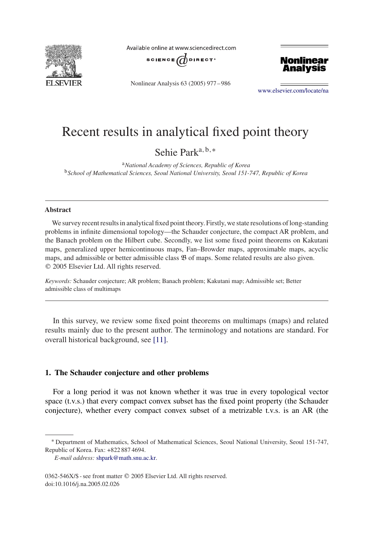

Available online at www.sciencedirect.com



Nonlinear Analysis 63 (2005) 977 – 986



[www.elsevier.com/locate/na](http://www.elsevier.com/locate/na)

# Recent results in analytical fixed point theory

Sehie Parka*,*b*,*<sup>∗</sup>

<sup>a</sup>*National Academy of Sciences, Republic of Korea* <sup>b</sup>*School of Mathematical Sciences, Seoul National University, Seoul 151-747, Republic of Korea*

#### **Abstract**

We survey recent results in analytical fixed point theory. Firstly, we state resolutions of long-standing problems in infinite dimensional topology—the Schauder conjecture, the compact AR problem, and the Banach problem on the Hilbert cube. Secondly, we list some fixed point theorems on Kakutani maps, generalized upper hemicontinuous maps, Fan–Browder maps, approximable maps, acyclic maps, and admissible or better admissible class  $\mathfrak B$  of maps. Some related results are also given. 2005 Elsevier Ltd. All rights reserved.

*Keywords:* Schauder conjecture; AR problem; Banach problem; Kakutani map; Admissible set; Better admissible class of multimaps

In this survey, we review some fixed point theorems on multimaps (maps) and related results mainly due to the present author. The terminology and notations are standard. For overall historical background, see [\[11\].](#page-8-0)

#### **1. The Schauder conjecture and other problems**

For a long period it was not known whether it was true in every topological vector space (t.v.s.) that every compact convex subset has the fixed point property (the Schauder conjecture), whether every compact convex subset of a metrizable t.v.s. is an AR (the

<sup>∗</sup> Department of Mathematics, School of Mathematical Sciences, Seoul National University, Seoul 151-747, Republic of Korea. Fax: +822 887 4694.

*E-mail address:* [shpark@math.snu.ac.kr.](mailto:shpark@math.snu.ac.kr)

<sup>0362-546</sup>X/\$ - see front matter © 2005 Elsevier Ltd. All rights reserved. doi:10.1016/j.na.2005.02.026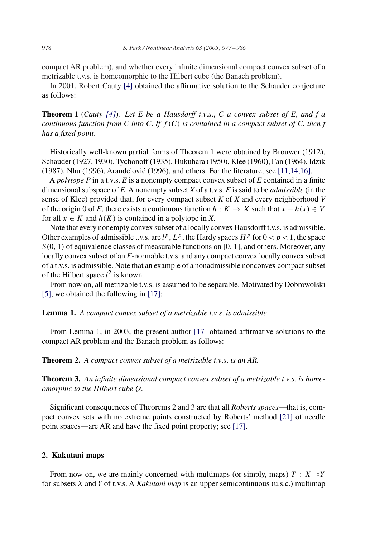compact AR problem), and whether every infinite dimensional compact convex subset of a metrizable t.v.s. is homeomorphic to the Hilbert cube (the Banach problem).

In 2001, Robert Cauty [\[4\]](#page-8-0) obtained the affirmative solution to the Schauder conjecture as follows:

**Theorem 1** *(Cauty [\[4\]](#page-8-0)). Let E be a Hausdorff t*.*v*.*s*., *C a convex subset of E*, *and f a continuous function from C into C*. *If f (C) is contained in a compact subset of C*, *then f has a fixed point*.

Historically well-known partial forms of Theorem 1 were obtained by Brouwer (1912), Schauder (1927, 1930), Tychonoff (1935), Hukuhara (1950), Klee (1960), Fan (1964), Idzik (1987), Nhu (1996), Arandelović (1996), and others. For the literature, see [11,14,16].

A *polytope P* in a t.v.s. *E* is a nonempty compact convex subset of *E* contained in a finite dimensional subspace of *E*. A nonempty subset *X* of a t.v.s. *E* is said to be *admissible* (in the sense of Klee) provided that, for every compact subset *K* of *X* and every neighborhood *V* of the origin 0 of *E*, there exists a continuous function  $h : K \to X$  such that  $x - h(x) \in V$ for all  $x \in K$  and  $h(K)$  is contained in a polytope in X.

Note that every nonempty convex subset of a locally convex Hausdorff t.v.s. is admissible. Other examples of admissible t.v.s. are  $l^p$ ,  $L^p$ , the Hardy spaces  $H^p$  for  $0 < p < 1$ , the space *S(*0*,* 1*)* of equivalence classes of measurable functions on [0*,* 1], and others. Moreover, any locally convex subset of an *F*-normable t.v.s. and any compact convex locally convex subset of a t.v.s. is admissible. Note that an example of a nonadmissible nonconvex compact subset of the Hilbert space  $l^2$  is known.

From now on, all metrizable t.v.s. is assumed to be separable. Motivated by Dobrowolski [\[5\],](#page-8-0) we obtained the following in [\[17\]:](#page-9-0)

**Lemma 1.** *A compact convex subset of a metrizable t*.*v*.*s*. *is admissible*.

From Lemma 1, in 2003, the present author [\[17\]](#page-9-0) obtained affirmative solutions to the compact AR problem and the Banach problem as follows:

**Theorem 2.** *A compact convex subset of a metrizable t*.*v*.*s*. *is an AR.*

**Theorem 3.** *An infinite dimensional compact convex subset of a metrizable t*.*v*.*s*. *is homeomorphic to the Hilbert cube Q*.

Significant consequences of Theorems 2 and 3 are that all *Roberts spaces*—that is, compact convex sets with no extreme points constructed by Roberts' method [\[21\]](#page-9-0) of needle point spaces—are AR and have the fixed point property; see [\[17\].](#page-9-0)

#### **2. Kakutani maps**

From now on, we are mainly concerned with multimaps (or simply, maps)  $T : X \rightarrow Y$ for subsets *X* and *Y* of t.v.s. A *Kakutani map* is an upper semicontinuous (u.s.c.) multimap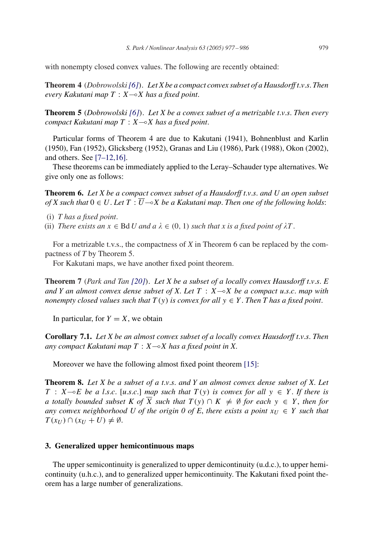with nonempty closed convex values. The following are recently obtained:

**Theorem 4** *(Dobrowolski[\[6\]](#page-8-0)). Let X be a compact convex subset of a Hausdorff t*.*v*.*s*. *Then every Kakutani map*  $T : X \rightarrow X$  *has a fixed point.* 

**Theorem 5** *(Dobrowolski [\[6\]](#page-8-0)). Let X be a convex subset of a metrizable t*.*v*.*s*. *Then every compact Kakutani map*  $T : X \rightarrow X$  *has a fixed point.* 

Particular forms of Theorem 4 are due to Kakutani (1941), Bohnenblust and Karlin (1950), Fan (1952), Glicksberg (1952), Granas and Liu (1986), Park (1988), Okon (2002), and others. See [7–12,16].

These theorems can be immediately applied to the Leray–Schauder type alternatives. We give only one as follows:

**Theorem 6.** *Let X be a compact convex subset of a Hausdorff t*.*v*.*s*. *and U an open subset of X such that*  $0 \in U$ . Let  $T : \overline{U} \rightarrow X$  *be a Kakutani map. Then one of the following holds:* 

- (i) *T has a fixed point*.
- (ii) *There exists an*  $x \in \text{Bd } U$  *and a*  $\lambda \in (0, 1)$  *such that x is a fixed point of*  $\lambda T$ .

For a metrizable t.v.s., the compactness of *X* in Theorem 6 can be replaced by the compactness of *T* by Theorem 5.

For Kakutani maps, we have another fixed point theorem.

**Theorem 7** *(Park and Tan [\[20\]](#page-9-0)). Let X be a subset of a locally convex Hausdorff t*.*v*.*s*. *E and Y an almost convex dense subset of X. Let*  $T : X \rightarrow X$  *be a compact u.s.c. map with nonempty closed values such that*  $T(y)$  *is convex for all*  $y \in Y$ . *Then T* has a fixed point.

In particular, for  $Y = X$ , we obtain

**Corollary 7.1.** *Let X be an almost convex subset of a locally convex Hausdorff t*.*v*.*s*. *Then any compact Kakutani map T* : *XX has a fixed point in X*.

Moreover we have the following almost fixed point theorem [\[15\]:](#page-9-0)

**Theorem 8.** *Let X be a subset of a t*.*v*.*s*. *and Y an almost convex dense subset of X*. *Let*  $T : X \rightarrow E$  *be a l.s.c.* [*u.s.c.*] *map such that*  $T(y)$  *is convex for all*  $y \in Y$ . If there is *a totally bounded subset K of*  $\overline{X}$  *such that*  $T(y) ∩ K ≠ ∅$  *for each*  $y ∈ Y$ *, then for any convex neighborhood U of the origin 0 of E, there exists a point*  $x_U \in Y$  *such that*  $T(x_U) \cap (x_U + U) \neq \emptyset$ .

## **3. Generalized upper hemicontinuous maps**

The upper semicontinuity is generalized to upper demicontinuity (u.d.c.), to upper hemicontinuity (u.h.c.), and to generalized upper hemicontinuity. The Kakutani fixed point theorem has a large number of generalizations.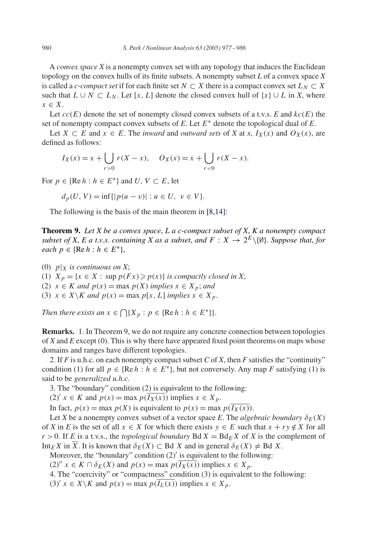A *convex space X* is a nonempty convex set with any topology that induces the Euclidean topology on the convex hulls of its finite subsets. A nonempty subset *L* of a convex space *X* is called a *c*-*compact set* if for each finite set  $N \subset X$  there is a compact convex set  $L_N \subset X$ such that  $L \cup N \subset L_N$ . Let [*x*, *L*] denote the closed convex hull of  $\{x\} \cup L$  in *X*, where *x* ∈ *X*.

Let  $cc(E)$  denote the set of nonempty closed convex subsets of a t.v.s. *E* and  $kc(E)$  the set of nonempty compact convex subsets of *E*. Let *E*<sup>∗</sup> denote the topological dual of *E*.

Let  $X \subset E$  and  $x \in E$ . The *inward* and *outward sets* of *X* at *x*,  $I_X(x)$  and  $O_X(x)$ , are defined as follows:

$$
I_X(x) = x + \bigcup_{r>0} r(X - x), \quad O_X(x) = x + \bigcup_{r<0} r(X - x).
$$

For  $p \in \{ \text{Re } h : h \in E^* \}$  and  $U, V \subset E$ , let

$$
d_p(U, V) = \inf\{|p(u - v)| : u \in U, v \in V\}.
$$

The following is the basis of the main theorem in [8,14]:

**Theorem 9.** *Let X be a convex space*, *Lac*-*compact subset of X*, *K a nonempty compact subset of X, E a t.v.s. containing X as a subset, and*  $F: X \to 2^E \setminus \{0\}$ . *Suppose that, for each*  $p$  ∈ {Re  $h$  :  $h$  ∈  $E^*$ },

(0)  $p|_X$  *is continuous on X*; (1)  $X_p = \{x \in X : \text{sup } p(Fx) \geqslant p(x)\}$  *is compactly closed in X*; (2)  $x \in K$  *and*  $p(x) = \max p(X)$  *implies*  $x \in X_p$ *; and* (3)  $x \in X \backslash K$  *and*  $p(x) = \max p[x, L]$  *implies*  $x \in X_p$ .

*Then there exists an*  $x \in \bigcap \{X_p : p \in \{\text{Re } h : h \in E^*\}\}.$ 

**Remarks.** 1. In Theorem 9, we do not require any concrete connection between topologies of *X* and *E* except (0). This is why there have appeared fixed point theorems on maps whose domains and ranges have different topologies.

2. If *F* is u.h.c. on each nonempty compact subset *C* of *X*, then *F* satisfies the "continuity" condition (1) for all  $p \in \{ \text{Re } h : h \in E^* \}$ , but not conversely. Any map *F* satisfying (1) is said to be *generalized u.h.c.*

3. The "boundary" condition (2) is equivalent to the following:

 $(2)'$  *x*  $\in$  *K* and  $p(x) = \max p(I_X(x))$  implies  $x \in X_p$ .

In fact,  $p(x) = \max p(X)$  is equivalent to  $p(x) = \max p(\overline{I_X(x)})$ .

Let *X* be a nonempty convex subset of a vector space *E*. The *algebraic boundary*  $\delta_E(X)$ of *X* in *E* is the set of all  $x \in X$  for which there exists  $y \in E$  such that  $x + ry \notin X$  for all  $r > 0$ . If *E* is a t.v.s., the *topological boundary* Bd  $X = Bd<sub>E</sub> X$  of *X* is the complement of Int<sub>E</sub>X in  $\overline{X}$ . It is known that  $\delta_E(X) \subset$  Bd *X* and in general  $\delta_E(X) \neq$  Bd *X*.

Moreover, the "boundary" condition  $(2)'$  is equivalent to the following:

 $(2)''$   $x \in K \cap \delta_E(X)$  and  $p(x) = \max p(\overline{I_X(x)})$  implies  $x \in X_p$ .

4. The "coercivity" or "compactness" condition (3) is equivalent to the following:

(3)<sup>'</sup>  $x \in X \backslash K$  and  $p(x) = \max p(I_L(x))$  implies  $x \in X_p$ .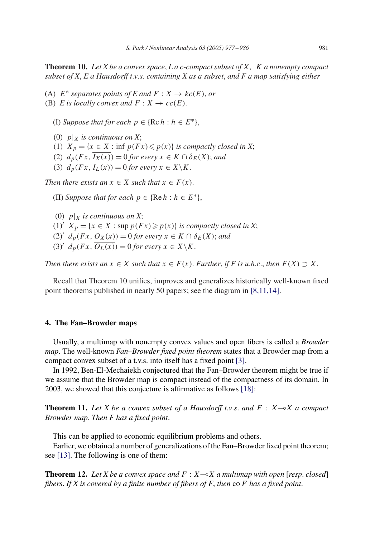**Theorem 10.** *Let X be a convex space*, *Lac*-*compact subset of X, K a nonempty compact subset of X*, *E a Hausdorff t*.*v*.*s*. *containing X as a subset*, *and F a map satisfying either*

(A)  $E^*$  *separates points of*  $E$  *and*  $F : X \to kc(E)$ , *or* 

(B) *E* is locally convex and  $F: X \to cc(E)$ .

(I) *Suppose that for each*  $p \in \{ \text{Re } h : h \in E^* \}$ ,

(0)  $p|_X$  *is continuous on X*;

(1)  $X_p = \{x \in X : \inf p(Fx) \leqslant p(x)\}\$ is compactly closed in X;

(2)  $d_p(Fx, \overline{I_X(x)}) = 0$  *for every*  $x \in K \cap \delta_E(X)$ ; *and* 

(3)  $d_p(Fx, \overline{I_L(x)}) = 0$  *for every*  $x \in X \backslash K$ .

*Then there exists an*  $x \in X$  *such that*  $x \in F(x)$ *.* 

(II) *Suppose that for each*  $p \in \{ \text{Re } h : h \in E^* \}$ ,

(0)  $p|_X$  *is continuous on X*; (1)<sup>*i*</sup>  $X_p = \{x \in X : \text{sup } p(Fx) \geqslant p(x)\}$  *is compactly closed in X*;  $(2)'$  *d<sub>p</sub>*(*Fx*,  $\overline{O_X(x)}$ ) = 0 *for every*  $x \in K \cap \delta_E(X)$ ; *and*  $(3)'$   $d_p(Fx, \overline{O_L(x)}) = 0$  *for every*  $x \in X \backslash K$ .

*Then there exists an*  $x \in X$  *such that*  $x \in F(x)$ *. Further, if F is u.h.c., then*  $F(X) \supset X$ *.* 

Recall that Theorem 10 unifies, improves and generalizes historically well-known fixed point theorems published in nearly 50 papers; see the diagram in [8,11,14].

## **4. The Fan–Browder maps**

Usually, a multimap with nonempty convex values and open fibers is called a *Browder map*. The well-known *Fan–Browder fixed point theorem* states that a Browder map from a compact convex subset of a t.v.s. into itself has a fixed point [\[3\].](#page-8-0)

In 1992, Ben-El-Mechaiekh conjectured that the Fan–Browder theorem might be true if we assume that the Browder map is compact instead of the compactness of its domain. In 2003, we showed that this conjecture is affirmative as follows [\[18\]:](#page-9-0)

**Theorem 11.** Let X be a convex subset of a Hausdorff t.v.s. and  $F: X \rightarrow X$  a compact *Browder map*. *Then F has a fixed point*.

This can be applied to economic equilibrium problems and others.

Earlier, we obtained a number of generalizations of the Fan–Browder fixed point theorem; see [\[13\].](#page-8-0) The following is one of them:

**Theorem 12.** Let X be a convex space and  $F : X \rightarrow X$  a multimap with open [resp. closed] *fibers*. *If X is covered by a finite number of fibers of F*, *then* co *F has a fixed point*.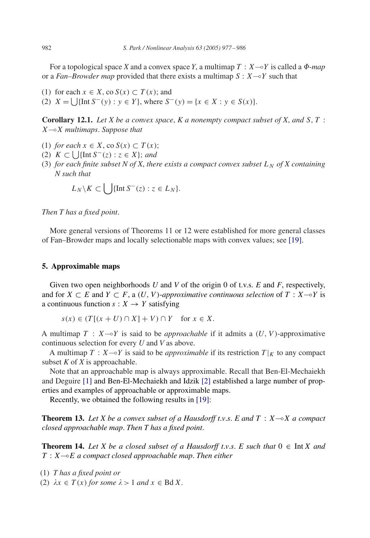For a topological space *X* and a convex space *Y*, a multimap  $T : X \rightarrow Y$  is called a  $\Phi$ -map or a *Fan–Browder map* provided that there exists a multimap  $S: X \rightarrow Y$  such that

(1) for each  $x \in X$ , co  $S(x) \subset T(x)$ ; and

(2)  $X = \bigcup \{ \text{Int } S^-(y) : y \in Y \}$ , where  $S^-(y) = \{ x \in X : y \in S(x) \}.$ 

**Corollary 12.1.** *Let X be a convex space*, *K a nonempty compact subset of X*, *and S,T* : *XX multimaps*. *Suppose that*

- (1) *for each*  $x \in X$ , co  $S(x) \subset T(x)$ ;
- (2)  $K \subset \bigcup \{ \text{Int } S^{-}(z) : z \in X \};$  and
- (3) *for each finite subset N of X, there exists a compact convex subset*  $L_N$  *of X containing N such that*

$$
L_N \backslash K \subset \bigcup \{ \text{Int } S^-(z) : z \in L_N \}.
$$

*Then T has a fixed point*.

More general versions of Theorems 11 or 12 were established for more general classes of Fan–Browder maps and locally selectionable maps with convex values; see [\[19\].](#page-9-0)

#### **5. Approximable maps**

Given two open neighborhoods *U* and *V* of the origin 0 of t.v.s. *E* and *F*, respectively, and for  $X \subset E$  and  $Y \subset F$ , a  $(U, V)$ -approximative continuous selection of  $T : X \rightarrow Y$  is a continuous function  $s: X \rightarrow Y$  satisfying

$$
s(x) \in (T[(x+U) \cap X] + V) \cap Y \quad \text{for } x \in X.
$$

A multimap  $T : X \rightarrow Y$  is said to be *approachable* if it admits a  $(U, V)$ -approximative continuous selection for every *U* and *V* as above.

A multimap  $T : X \rightarrow Y$  is said to be *approximable* if its restriction  $T|_K$  to any compact subset *K* of *X* is approachable.

Note that an approachable map is always approximable. Recall that Ben-El-Mechaiekh and Deguire [\[1\]](#page-8-0) and Ben-El-Mechaiekh and Idzik [\[2\]](#page-8-0) established a large number of properties and examples of approachable or approximable maps.

Recently, we obtained the following results in [\[19\]:](#page-9-0)

**Theorem 13.** Let X be a convex subset of a Hausdorff t.v.s. E and  $T : X \rightarrow X$  a compact *closed approachable map*. *Then T has a fixed point*.

**Theorem 14.** Let X be a closed subset of a Hausdorff t.v.s. E such that  $0 \in \text{Int } X$  and  $T : X \rightarrow E$  *a compact closed approachable map. Then either* 

- (1) *T has a fixed point or*
- (2)  $\lambda x \in T(x)$  *for some*  $\lambda > 1$  *and*  $x \in BdX$ .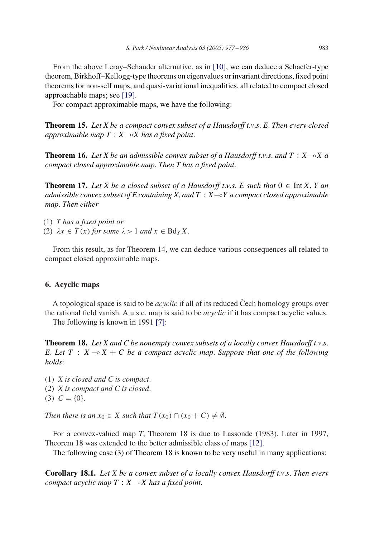From the above Leray–Schauder alternative, as in [\[10\],](#page-8-0) we can deduce a Schaefer-type theorem, Birkhoff–Kellogg-type theorems on eigenvalues or invariant directions, fixed point theorems for non-self maps, and quasi-variational inequalities, all related to compact closed approachable maps; see [\[19\].](#page-9-0)

For compact approximable maps, we have the following:

**Theorem 15.** *Let X be a compact convex subset of a Hausdorff t*.*v*.*s*. *E*. *Then every closed approximable map*  $T : X \rightarrow X$  *has a fixed point.* 

**Theorem 16.** Let X be an admissible convex subset of a Hausdorff t.v.s. and  $T : X \rightarrow X$  a *compact closed approximable map*. *Then T has a fixed point*.

**Theorem 17.** Let X be a closed subset of a Hausdorff t.v.s. E such that  $0 \in \text{Int } X$ , Y an *admissible convex subset of E containing X, and*  $T : X \rightarrow Y$  *a compact closed approximable map*. *Then either*

(1) *T has a fixed point or* (2)  $\lambda x \in T(x)$  for some  $\lambda > 1$  and  $x \in BdyX$ .

From this result, as for Theorem 14, we can deduce various consequences all related to compact closed approximable maps.

### **6. Acyclic maps**

A topological space is said to be *acyclic* if all of its reduced Cech homology groups over the rational field vanish. A u.s.c. map is said to be *acyclic* if it has compact acyclic values. The following is known in 1991 [\[7\]:](#page-8-0)

**Theorem 18.** *Let X and C be nonempty convex subsets of a locally convex Hausdorff t*.*v*.*s*. *E.* Let  $T : X \rightarrow X + C$  *be a compact acyclic map. Suppose that one of the following holds*:

- (1) *X is closed and C is compact*.
- (2) *X is compact and C is closed*.
- $(3)$   $C = \{0\}.$

*Then there is an*  $x_0 \in X$  *such that*  $T(x_0) \cap (x_0 + C) \neq \emptyset$ .

For a convex-valued map *T*, Theorem 18 is due to Lassonde (1983). Later in 1997, Theorem 18 was extended to the better admissible class of maps [\[12\].](#page-8-0)

The following case (3) of Theorem 18 is known to be very useful in many applications:

**Corollary 18.1.** *Let X be a convex subset of a locally convex Hausdorff t*.*v*.*s*. *Then every compact acyclic map*  $T : X \rightarrow X$  *has a fixed point.*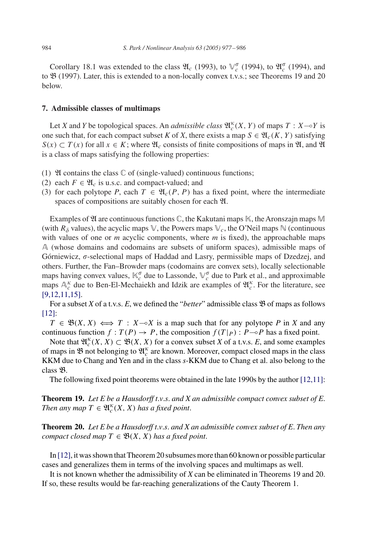Corollary 18.1 was extended to the class  $\mathfrak{A}_c$  (1993), to  $\mathbb{V}_c^{\sigma}$  (1994), to  $\mathfrak{A}_c^{\sigma}$  (1994), and to B (1997). Later, this is extended to a non-locally convex t.v.s.; see Theorems 19 and 20 below.

#### **7. Admissible classes of multimaps**

Let *X* and *Y* be topological spaces. An *admissible class*  $\mathfrak{A}_{c}^{\kappa}(X, Y)$  of maps  $T : X \rightarrow Y$  is one such that, for each compact subset *K* of *X*, there exists a map  $S \in \mathfrak{A}_{c}(K, Y)$  satisfying  $S(x) \subset T(x)$  for all  $x \in K$ ; where  $\mathfrak{A}_c$  consists of finite compositions of maps in  $\mathfrak{A}$ , and  $\mathfrak{A}$ is a class of maps satisfying the following properties:

- (1)  $\mathfrak A$  contains the class  $\mathbb C$  of (single-valued) continuous functions;
- (2) each  $F \in \mathfrak{A}_c$  is u.s.c. and compact-valued; and
- (3) for each polytope *P*, each  $T \in \mathfrak{A}_c(P, P)$  has a fixed point, where the intermediate spaces of compositions are suitably chosen for each  $\mathfrak{A}$ .

Examples of  $\mathfrak A$  are continuous functions  $\mathbb C$ , the Kakutani maps  $\mathbb K$ , the Aronszajn maps  $\mathbb M$ (with  $R_{\delta}$  values), the acyclic maps  $\mathbb{V}$ , the Powers maps  $\mathbb{V}_c$ , the O'Neil maps  $\mathbb{N}$  (continuous with values of one or *m* acyclic components, where *m* is fixed), the approachable maps A (whose domains and codomains are subsets of uniform spaces), admissible maps of Górniewicz,  $\sigma$ -selectional maps of Haddad and Lasry, permissible maps of Dzedzej, and others. Further, the Fan–Browder maps (codomains are convex sets), locally selectionable maps having convex values,  $\mathbb{K}_c^{\sigma}$  due to Lassonde,  $\mathbb{V}_c^{\sigma}$  due to Park et al., and approximable maps  $A_c^k$  due to Ben-El-Mechaiekh and Idzik are examples of  $\mathfrak{A}_c^k$ . For the literature, see [9,12,11,15].

For a subset *X* of a t.v.s. *E*, we defined the "*better*" admissible class **B** of maps as follows [\[12\]:](#page-8-0)

 $T \in \mathfrak{B}(X, X) \iff T : X \sim X$  is a map such that for any polytope *P* in *X* and any continuous function  $f: T(P) \to P$ , the composition  $f(T|_{P}): P \to P$  has a fixed point.

Note that  $\mathfrak{A}_{c}^{k}(X, X) \subset \mathfrak{B}(X, X)$  for a convex subset *X* of a t.v.s. *E*, and some examples of maps in  $\mathfrak B$  not belonging to  $\mathfrak A_c^{\kappa}$  are known. Moreover, compact closed maps in the class KKM due to Chang and Yen and in the class *s*-KKM due to Chang et al. also belong to the class B.

The following fixed point theorems were obtained in the late 1990s by the author [12,11]:

**Theorem 19.** *Let E be a Hausdorff t*.*v*.*s*. *and X an admissible compact convex subset of E*. *Then any map*  $T \in \mathfrak{A}_c^{\kappa}(X, X)$  *has a fixed point.* 

**Theorem 20.** *Let E be a Hausdorff t*.*v*.*s*. *and X an admissible convex subset of E*. *Then any compact closed map*  $T \in \mathfrak{B}(X, X)$  *has a fixed point.* 

In [\[12\],](#page-8-0) it was shown that Theorem 20 subsumes more than 60 known or possible particular cases and generalizes them in terms of the involving spaces and multimaps as well.

It is not known whether the admissibility of *X* can be eliminated in Theorems 19 and 20. If so, these results would be far-reaching generalizations of the Cauty Theorem 1.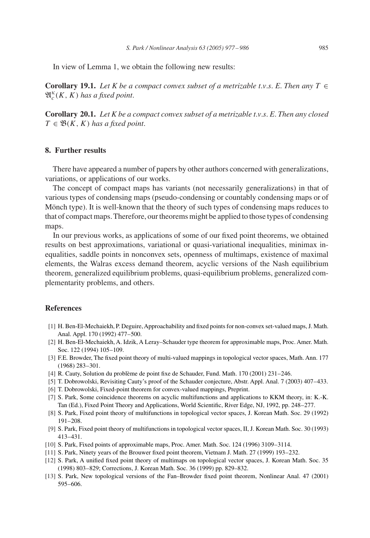<span id="page-8-0"></span>In view of Lemma 1, we obtain the following new results:

**Corollary 19.1.** *Let K be a compact convex subset of a metrizable t.v.s. E. Then any*  $T \in$  $\mathfrak{A}_{c}^{\kappa}(K, K)$  has a fixed point.

**Corollary 20.1.** *Let K be a compact convex subset of a metrizable t*.*v*.*s*. *E*. *Then any closed*  $T \in \mathfrak{B}(K, K)$  *has a fixed point.* 

## **8. Further results**

There have appeared a number of papers by other authors concerned with generalizations, variations, or applications of our works.

The concept of compact maps has variants (not necessarily generalizations) in that of various types of condensing maps (pseudo-condensing or countably condensing maps or of Mönch type). It is well-known that the theory of such types of condensing maps reduces to that of compact maps. Therefore, our theorems might be applied to those types of condensing maps.

In our previous works, as applications of some of our fixed point theorems, we obtained results on best approximations, variational or quasi-variational inequalities, minimax inequalities, saddle points in nonconvex sets, openness of multimaps, existence of maximal elements, the Walras excess demand theorem, acyclic versions of the Nash equilibrium theorem, generalized equilibrium problems, quasi-equilibrium problems, generalized complementarity problems, and others.

## **References**

- [1] H. Ben-El-Mechaiekh, P. Deguire, Approachability and fixed points for non-convex set-valued maps, J. Math. Anal. Appl. 170 (1992) 477–500.
- [2] H. Ben-El-Mechaiekh, A. Idzik, A Leray–Schauder type theorem for approximable maps, Proc. Amer. Math. Soc. 122 (1994) 105–109.
- [3] F.E. Browder, The fixed point theory of multi-valued mappings in topological vector spaces, Math. Ann. 177 (1968) 283–301.
- [4] R. Cauty, Solution du problème de point fixe de Schauder, Fund. Math. 170 (2001) 231–246.
- [5] T. Dobrowolski, Revisiting Cauty's proof of the Schauder conjecture, Abstr. Appl. Anal. 7 (2003) 407–433.
- [6] T. Dobrowolski, Fixed-point theorem for convex-valued mappings, Preprint.
- [7] S. Park, Some coincidence theorems on acyclic multifunctions and applications to KKM theory, in: K.-K. Tan (Ed.), Fixed Point Theory and Applications, World Scientific, River Edge, NJ, 1992, pp. 248–277.
- [8] S. Park, Fixed point theory of multifunctions in topological vector spaces, J. Korean Math. Soc. 29 (1992) 191–208.
- [9] S. Park, Fixed point theory of multifunctions in topological vector spaces, II, J. Korean Math. Soc. 30 (1993) 413–431.
- [10] S. Park, Fixed points of approximable maps, Proc. Amer. Math. Soc. 124 (1996) 3109–3114.
- [11] S. Park, Ninety years of the Brouwer fixed point theorem, Vietnam J. Math. 27 (1999) 193–232.
- [12] S. Park, A unified fixed point theory of multimaps on topological vector spaces, J. Korean Math. Soc. 35 (1998) 803–829; Corrections, J. Korean Math. Soc. 36 (1999) pp. 829–832.
- [13] S. Park, New topological versions of the Fan–Browder fixed point theorem, Nonlinear Anal. 47 (2001) 595–606.